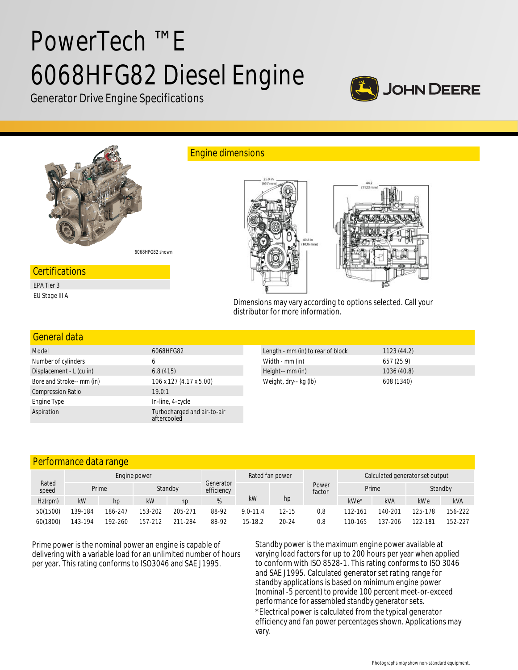# PowerTech ™ E 6068HFG82 Diesel Engine



Generator Drive Engine Specifications



Dimensions may vary according to options selected. Call your distributor for more information.

## General data

| Model                     | 6068HFG82                                  |
|---------------------------|--------------------------------------------|
| Number of cylinders       | 6                                          |
| Displacement - L (cu in)  | 6.8(415)                                   |
| Bore and Stroke-- mm (in) | 106 x 127 (4.17 x 5.00)                    |
| <b>Compression Ratio</b>  | 19.0:1                                     |
| Engine Type               | In-line, 4-cycle                           |
| Aspiration                | Turbocharged and air-to-air<br>aftercooled |

| Length - mm (in) to rear of block | 1123(44.2)  |
|-----------------------------------|-------------|
| Width - mm (in)                   | 657 (25.9)  |
| Height-- mm (in)                  | 1036 (40.8) |
| Weight, dry-- kg (lb)             | 608 (1340)  |

## Performance data range

| Rated<br>speed | Engine power |                  |         |         |                         | Rated fan power |           |                 | Calculated generator set output |            |         |            |
|----------------|--------------|------------------|---------|---------|-------------------------|-----------------|-----------|-----------------|---------------------------------|------------|---------|------------|
|                |              | Prime<br>Standby |         |         | Generator<br>efficiency |                 |           | Power<br>factor | Prime                           |            |         | Standby    |
| $Hz$ (rpm)     | kW           | hp.              | kW      | hp      | %                       | kW              | hp        |                 | $kWe*$                          | <b>kVA</b> | kWe     | <b>kVA</b> |
| 50(1500)       | 139-184      | 186-247          | 153-202 | 205-271 | 88-92                   | $9.0 - 11.4$    | 12-15     | 0.8             | 112-161                         | 140-201    | 125-178 | 156-222    |
| 60(1800)       | 143-194      | 192-260          | 157-212 | 211-284 | 88-92                   | 15-18.2         | $20 - 24$ | 0.8             | 110-165                         | 137-206    | 122-181 | 152-227    |

Prime power is the nominal power an engine is capable of delivering with a variable load for an unlimited number of hours per year. This rating conforms to ISO3046 and SAE J1995.

Standby power is the maximum engine power available at varying load factors for up to 200 hours per year when applied to conform with ISO 8528-1. This rating conforms to ISO 3046 and SAE J1995. Calculated generator set rating range for standby applications is based on minimum engine power (nominal -5 percent) to provide 100 percent meet-or-exceed performance for assembled standby generator sets. \*Electrical power is calculated from the typical generator efficiency and fan power percentages shown. Applications may vary.